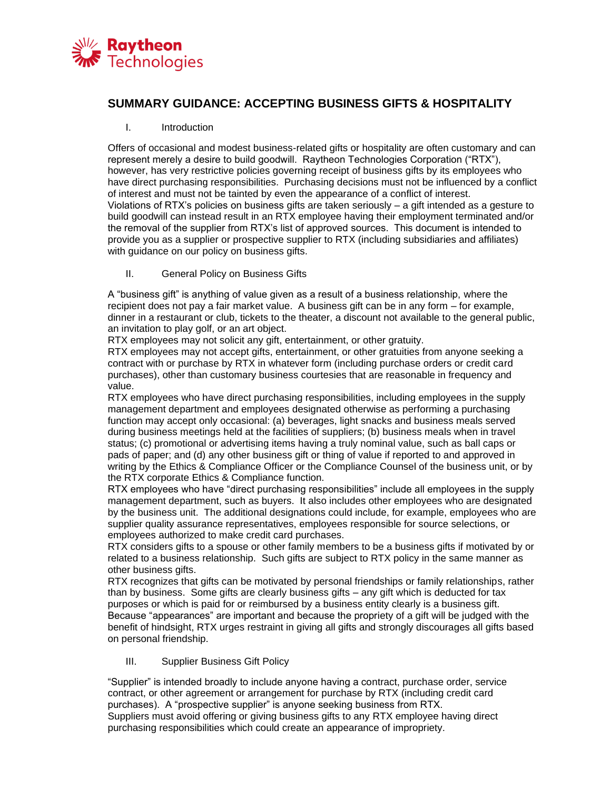

## **SUMMARY GUIDANCE: ACCEPTING BUSINESS GIFTS & HOSPITALITY**

## I. Introduction

Offers of occasional and modest business-related gifts or hospitality are often customary and can represent merely a desire to build goodwill. Raytheon Technologies Corporation ("RTX"), however, has very restrictive policies governing receipt of business gifts by its employees who have direct purchasing responsibilities. Purchasing decisions must not be influenced by a conflict of interest and must not be tainted by even the appearance of a conflict of interest. Violations of RTX's policies on business gifts are taken seriously – a gift intended as a gesture to build goodwill can instead result in an RTX employee having their employment terminated and/or the removal of the supplier from RTX's list of approved sources. This document is intended to provide you as a supplier or prospective supplier to RTX (including subsidiaries and affiliates) with guidance on our policy on business gifts.

II. General Policy on Business Gifts

A "business gift" is anything of value given as a result of a business relationship, where the recipient does not pay a fair market value. A business gift can be in any form – for example, dinner in a restaurant or club, tickets to the theater, a discount not available to the general public, an invitation to play golf, or an art object.

RTX employees may not solicit any gift, entertainment, or other gratuity.

RTX employees may not accept gifts, entertainment, or other gratuities from anyone seeking a contract with or purchase by RTX in whatever form (including purchase orders or credit card purchases), other than customary business courtesies that are reasonable in frequency and value.

RTX employees who have direct purchasing responsibilities, including employees in the supply management department and employees designated otherwise as performing a purchasing function may accept only occasional: (a) beverages, light snacks and business meals served during business meetings held at the facilities of suppliers; (b) business meals when in travel status; (c) promotional or advertising items having a truly nominal value, such as ball caps or pads of paper; and (d) any other business gift or thing of value if reported to and approved in writing by the Ethics & Compliance Officer or the Compliance Counsel of the business unit, or by the RTX corporate Ethics & Compliance function.

RTX employees who have "direct purchasing responsibilities" include all employees in the supply management department, such as buyers. It also includes other employees who are designated by the business unit. The additional designations could include, for example, employees who are supplier quality assurance representatives, employees responsible for source selections, or employees authorized to make credit card purchases.

RTX considers gifts to a spouse or other family members to be a business gifts if motivated by or related to a business relationship. Such gifts are subject to RTX policy in the same manner as other business gifts.

RTX recognizes that gifts can be motivated by personal friendships or family relationships, rather than by business. Some gifts are clearly business gifts – any gift which is deducted for tax purposes or which is paid for or reimbursed by a business entity clearly is a business gift. Because "appearances" are important and because the propriety of a gift will be judged with the benefit of hindsight, RTX urges restraint in giving all gifts and strongly discourages all gifts based on personal friendship.

III. Supplier Business Gift Policy

"Supplier" is intended broadly to include anyone having a contract, purchase order, service contract, or other agreement or arrangement for purchase by RTX (including credit card purchases). A "prospective supplier" is anyone seeking business from RTX. Suppliers must avoid offering or giving business gifts to any RTX employee having direct purchasing responsibilities which could create an appearance of impropriety.